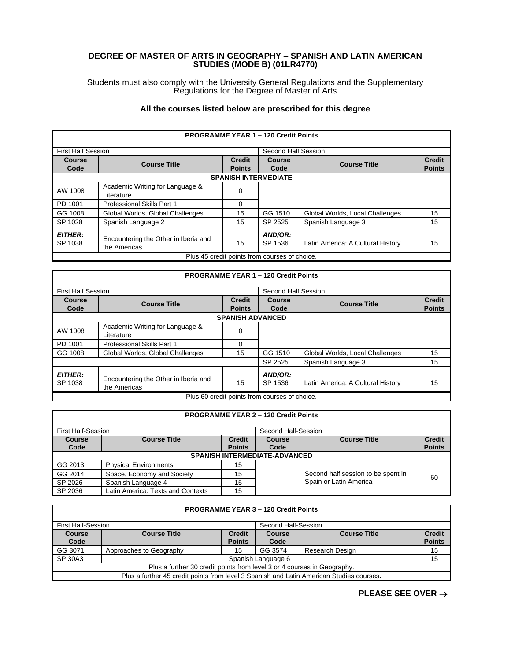## **DEGREE OF MASTER OF ARTS IN GEOGRAPHY – SPANISH AND LATIN AMERICAN STUDIES (MODE B) (01LR4770)**

Students must also comply with the University General Regulations and the Supplementary Regulations for the Degree of Master of Arts

## **All the courses listed below are prescribed for this degree**

|                                               |                                                      |                                | <b>PROGRAMME YEAR 1 - 120 Credit Points</b> |                                   |                                |
|-----------------------------------------------|------------------------------------------------------|--------------------------------|---------------------------------------------|-----------------------------------|--------------------------------|
| <b>First Half Session</b>                     |                                                      |                                | Second Half Session                         |                                   |                                |
| <b>Course</b><br>Code                         | <b>Course Title</b>                                  | <b>Credit</b><br><b>Points</b> | <b>Course</b><br>Code                       | <b>Course Title</b>               | <b>Credit</b><br><b>Points</b> |
|                                               |                                                      |                                | <b>SPANISH INTERMEDIATE</b>                 |                                   |                                |
|                                               |                                                      |                                |                                             |                                   |                                |
| AW 1008                                       | Academic Writing for Language &<br>Literature        | 0                              |                                             |                                   |                                |
| PD 1001                                       | <b>Professional Skills Part 1</b>                    | 0                              |                                             |                                   |                                |
| GG 1008                                       | Global Worlds, Global Challenges                     | 15                             | GG 1510                                     | Global Worlds, Local Challenges   | 15                             |
| SP 1028                                       | Spanish Language 2                                   | 15                             | SP 2525                                     | Spanish Language 3                | 15                             |
| <b>EITHER:</b><br>SP 1038                     | Encountering the Other in Iberia and<br>the Americas | 15                             | AND/OR:<br>SP 1536                          | Latin America: A Cultural History | 15                             |
| Plus 45 credit points from courses of choice. |                                                      |                                |                                             |                                   |                                |

| <b>PROGRAMME YEAR 1 - 120 Credit Points</b>   |                                                      |                                |                       |                                   |                                |  |
|-----------------------------------------------|------------------------------------------------------|--------------------------------|-----------------------|-----------------------------------|--------------------------------|--|
| <b>First Half Session</b>                     |                                                      |                                | Second Half Session   |                                   |                                |  |
| Course<br>Code                                | <b>Course Title</b>                                  | <b>Credit</b><br><b>Points</b> | <b>Course</b><br>Code | <b>Course Title</b>               | <b>Credit</b><br><b>Points</b> |  |
|                                               | <b>SPANISH ADVANCED</b>                              |                                |                       |                                   |                                |  |
| AW 1008                                       | Academic Writing for Language &<br>Literature        | 0                              |                       |                                   |                                |  |
| PD 1001                                       | Professional Skills Part 1                           | 0                              |                       |                                   |                                |  |
| GG 1008                                       | Global Worlds, Global Challenges                     | 15                             | GG 1510               | Global Worlds, Local Challenges   | 15                             |  |
|                                               |                                                      |                                | SP 2525               | Spanish Language 3                | 15                             |  |
| <b>EITHER:</b><br>SP 1038                     | Encountering the Other in Iberia and<br>the Americas | 15                             | AND/OR:<br>SP 1536    | Latin America: A Cultural History | 15                             |  |
| Plus 60 credit points from courses of choice. |                                                      |                                |                       |                                   |                                |  |

| <b>PROGRAMME YEAR 2 - 120 Credit Points</b> |                                           |                                |                |                                    |                                |
|---------------------------------------------|-------------------------------------------|--------------------------------|----------------|------------------------------------|--------------------------------|
|                                             | First Half-Session<br>Second Half-Session |                                |                |                                    |                                |
| <b>Course</b><br>Code                       | <b>Course Title</b>                       | <b>Credit</b><br><b>Points</b> | Course<br>Code | <b>Course Title</b>                | <b>Credit</b><br><b>Points</b> |
|                                             | <b>SPANISH INTERMEDIATE-ADVANCED</b>      |                                |                |                                    |                                |
| GG 2013                                     | <b>Physical Environments</b>              | 15                             |                |                                    |                                |
| GG 2014                                     | Space, Economy and Society                | 15                             |                | Second half session to be spent in | 60                             |
| SP 2026                                     | Spanish Language 4                        | 15                             |                | Spain or Latin America             |                                |
| SP 2036                                     | Latin America: Texts and Contexts         | 15                             |                |                                    |                                |

| <b>PROGRAMME YEAR 3 - 120 Credit Points</b>                                              |                                                  |               |                    |                     |               |
|------------------------------------------------------------------------------------------|--------------------------------------------------|---------------|--------------------|---------------------|---------------|
|                                                                                          | <b>First Half-Session</b><br>Second Half-Session |               |                    |                     |               |
| Course                                                                                   | <b>Course Title</b>                              | <b>Credit</b> | <b>Course</b>      | <b>Course Title</b> | <b>Credit</b> |
| Code                                                                                     |                                                  | <b>Points</b> | Code               |                     | <b>Points</b> |
| GG 3071                                                                                  | Approaches to Geography                          | 15            | GG 3574            | Research Design     | 15            |
| SP 30A3                                                                                  |                                                  |               | Spanish Language 6 |                     | 15            |
| Plus a further 30 credit points from level 3 or 4 courses in Geography.                  |                                                  |               |                    |                     |               |
| Plus a further 45 credit points from level 3 Spanish and Latin American Studies courses. |                                                  |               |                    |                     |               |

**PLEASE SEE OVER** →